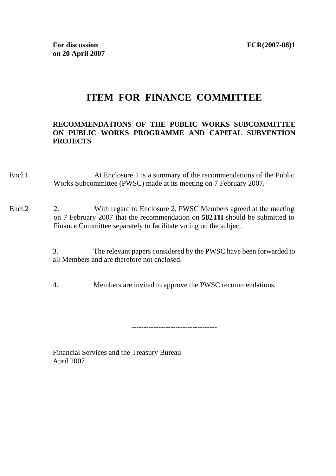## **ITEM FOR FINANCE COMMITTEE**

## **RECOMMENDATIONS OF THE PUBLIC WORKS SUBCOMMITTEE ON PUBLIC WORKS PROGRAMME AND CAPITAL SUBVENTION PROJECTS**

- Encl.1 At Enclosure 1 is a summary of the recommendations of the Public Works Subcommittee (PWSC) made at its meeting on 7 February 2007.
- Encl.2 2. With regard to Enclosure 2, PWSC Members agreed at the meeting on 7 February 2007 that the recommendation on **582TH** should be submitted to Finance Committee separately to facilitate voting on the subject.

3. The relevant papers considered by the PWSC have been forwarded to all Members and are therefore not enclosed.

4. Members are invited to approve the PWSC recommendations.

-----------------------------------

Financial Services and the Treasury Bureau April 2007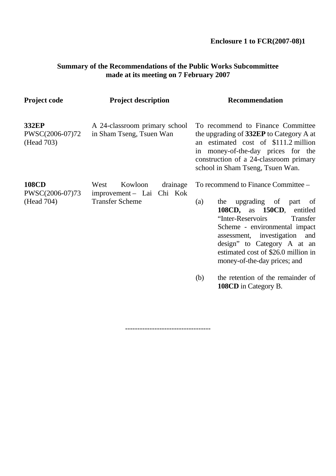## **Summary of the Recommendations of the Public Works Subcommittee made at its meeting on 7 February 2007**

| <b>Project code</b>                           | <b>Project description</b>                                                         | <b>Recommendation</b>                                                                                                                                                                                                                                                                                                                                                  |
|-----------------------------------------------|------------------------------------------------------------------------------------|------------------------------------------------------------------------------------------------------------------------------------------------------------------------------------------------------------------------------------------------------------------------------------------------------------------------------------------------------------------------|
| 332EP<br>PWSC(2006-07)72<br>(Head 703)        | A 24-classroom primary school<br>in Sham Tseng, Tsuen Wan                          | To recommend to Finance Committee<br>the upgrading of 332EP to Category A at<br>an estimated cost of \$111.2 million<br>in money-of-the-day prices for the<br>construction of a 24-classroom primary<br>school in Sham Tseng, Tsuen Wan.                                                                                                                               |
| <b>108CD</b><br>PWSC(2006-07)73<br>(Head 704) | Kowloon<br>West<br>drainage<br>improvement - Lai Chi Kok<br><b>Transfer Scheme</b> | To recommend to Finance Committee -<br>upgrading of<br>(a)<br>the<br>part<br>- of<br>108CD, as 150CD, entitled<br>"Inter-Reservoirs<br>Transfer<br>Scheme - environmental impact<br>assessment, investigation<br>and<br>design" to Category A at an<br>estimated cost of \$26.0 million in<br>money-of-the-day prices; and<br>the retention of the remainder of<br>(b) |

-----------------------------------